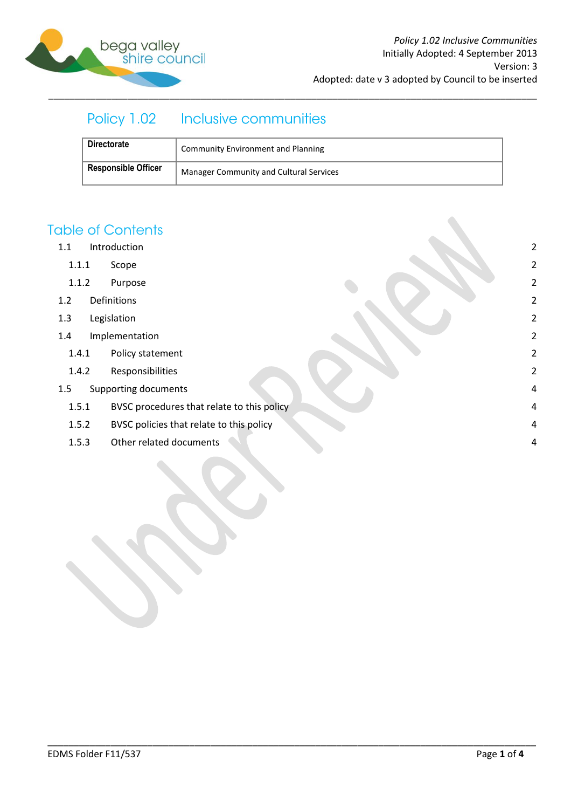

# Policy 1.02 Inclusive communities

| <b>Directorate</b>         | <b>Community Environment and Planning</b>      |
|----------------------------|------------------------------------------------|
| <b>Responsible Officer</b> | <b>Manager Community and Cultural Services</b> |

\_\_\_\_\_\_\_\_\_\_\_\_\_\_\_\_\_\_\_\_\_\_\_\_\_\_\_\_\_\_\_\_\_\_\_\_\_\_\_\_\_\_\_\_\_\_\_\_\_\_\_\_\_\_\_\_\_\_\_\_\_\_\_\_\_\_\_\_\_\_\_\_\_\_\_\_\_\_\_\_\_\_\_\_\_\_\_\_\_\_\_\_\_

## **Table of Contents**

- 1.1 [Introduction](#page-1-0) 2
	- 1.1.1 [Scope](#page-1-1) 2
	- 1.1.2 [Purpose](#page-1-2) 2
- 1.2 [Definitions](#page-1-3) 2
- 1.3 [Legislation](#page-1-4) 2
- 1.4 [Implementation](#page-1-5) 2
	- 1.4.1 [Policy statement](#page-1-6) 2
	- 1.4.2 [Responsibilities 2](#page-1-7)
- 1.5 [Supporting documents](#page-3-0) 4
	- 1.5.1 [BVSC procedures that relate to this policy](#page-3-1) **1.5.1 BVSC procedures that relate to this policy 1.5.1 All and 2.4**
	- 1.5.2 [BVSC policies that relate to this policy](#page-3-2) 4
	- 1.5.3 [Other related documents](#page-3-3) 4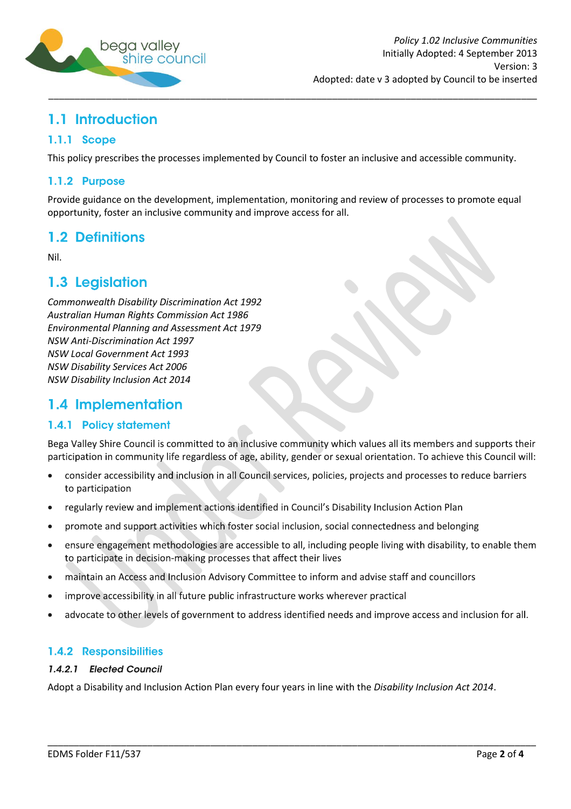

# <span id="page-1-0"></span>1.1 Introduction

### <span id="page-1-1"></span>1.1.1 Scope

This policy prescribes the processes implemented by Council to foster an inclusive and accessible community.

### <span id="page-1-2"></span>1.1.2 Purpose

Provide guidance on the development, implementation, monitoring and review of processes to promote equal opportunity, foster an inclusive community and improve access for all.

## <span id="page-1-3"></span>1.2 Definitions

Nil.

## <span id="page-1-4"></span>1.3 Legislation

*Commonwealth Disability Discrimination Act 1992 Australian Human Rights Commission Act 1986 Environmental Planning and Assessment Act 1979 NSW Anti-Discrimination Act 1997 NSW Local Government Act 1993 NSW Disability Services Act 2006 NSW Disability Inclusion Act 2014*

## <span id="page-1-5"></span>1.4 Implementation

### <span id="page-1-6"></span>1.4.1 Policy statement

Bega Valley Shire Council is committed to an inclusive community which values all its members and supports their participation in community life regardless of age, ability, gender or sexual orientation. To achieve this Council will:

- consider accessibility and inclusion in all Council services, policies, projects and processes to reduce barriers to participation
- regularly review and implement actions identified in Council's Disability Inclusion Action Plan  $\bullet$
- promote and support activities which foster social inclusion, social connectedness and belonging  $\bullet$
- ensure engagement methodologies are accessible to all, including people living with disability, to enable them to participate in decision-making processes that affect their lives
- maintain an Access and Inclusion Advisory Committee to inform and advise staff and councillors
- improve accessibility in all future public infrastructure works wherever practical
- advocate to other levels of government to address identified needs and improve access and inclusion for all.

\_\_\_\_\_\_\_\_\_\_\_\_\_\_\_\_\_\_\_\_\_\_\_\_\_\_\_\_\_\_\_\_\_\_\_\_\_\_\_\_\_\_\_\_\_\_\_\_\_\_\_\_\_\_\_\_\_\_\_\_\_\_\_\_\_\_\_\_\_\_\_\_\_\_\_\_\_\_\_\_\_\_\_\_\_\_\_\_\_\_\_\_\_

### <span id="page-1-7"></span>1.4.2 Responsibilities

#### 1.4.2.1 Elected Council

Adopt a Disability and Inclusion Action Plan every four years in line with the *Disability Inclusion Act 2014*.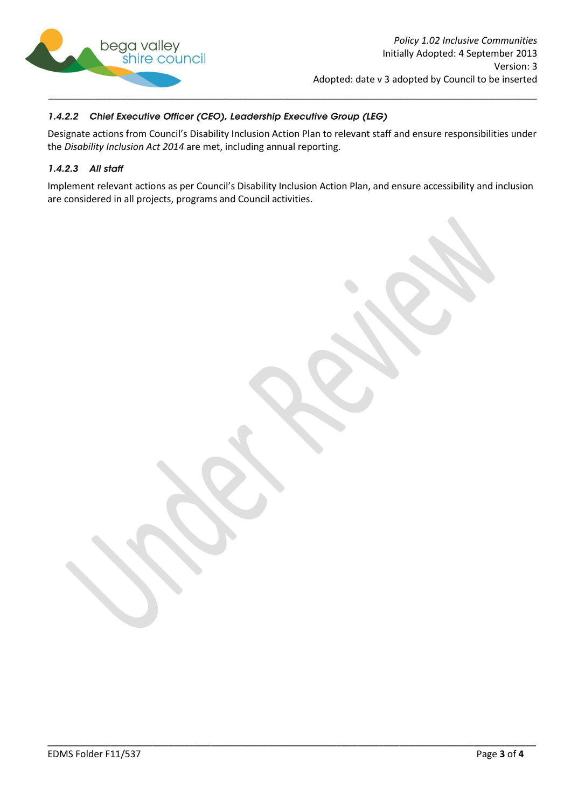

#### 1.4.2.2 Chief Executive Officer (CEO), Leadership Executive Group (LEG)

Designate actions from Council's Disability Inclusion Action Plan to relevant staff and ensure responsibilities under the *Disability Inclusion Act 2014* are met, including annual reporting.

#### 1.4.2.3 All staff

Implement relevant actions as per Council's Disability Inclusion Action Plan, and ensure accessibility and inclusion are considered in all projects, programs and Council activities.

\_\_\_\_\_\_\_\_\_\_\_\_\_\_\_\_\_\_\_\_\_\_\_\_\_\_\_\_\_\_\_\_\_\_\_\_\_\_\_\_\_\_\_\_\_\_\_\_\_\_\_\_\_\_\_\_\_\_\_\_\_\_\_\_\_\_\_\_\_\_\_\_\_\_\_\_\_\_\_\_\_\_\_\_\_\_\_\_\_\_\_\_\_